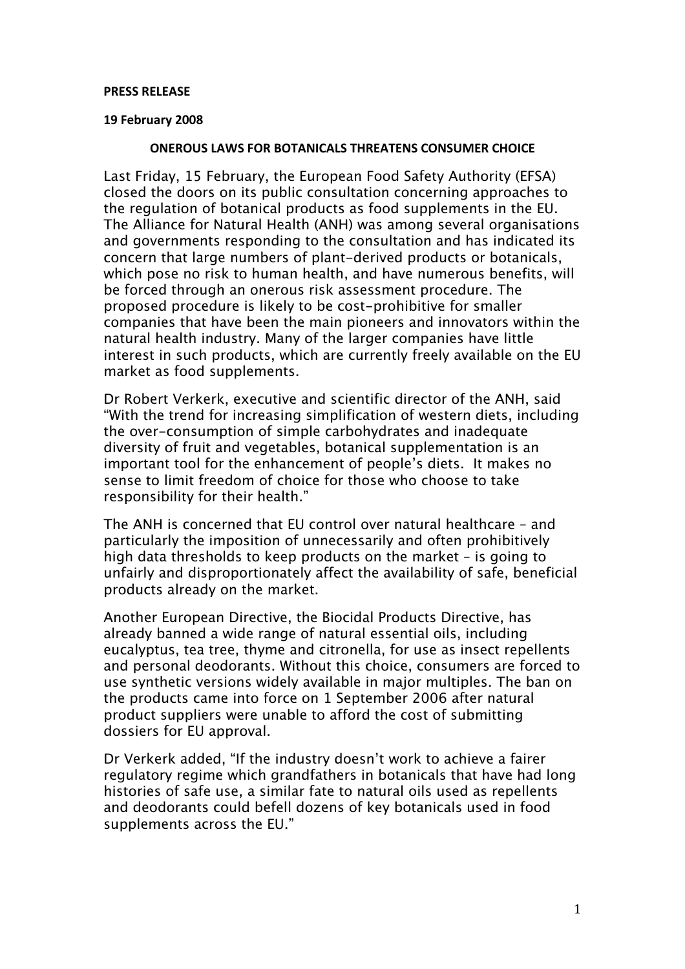#### **PRESS
RELEASE**

### **19
February
2008**

### **ONEROUS
LAWS
FOR
BOTANICALS
THREATENS
CONSUMER
CHOICE**

Last Friday, 15 February, the European Food Safety Authority (EFSA) closed the doors on its public consultation concerning approaches to the regulation of botanical products as food supplements in the EU. The Alliance for Natural Health (ANH) was among several organisations and governments responding to the consultation and has indicated its concern that large numbers of plant-derived products or botanicals, which pose no risk to human health, and have numerous benefits, will be forced through an onerous risk assessment procedure. The proposed procedure is likely to be cost-prohibitive for smaller companies that have been the main pioneers and innovators within the natural health industry. Many of the larger companies have little interest in such products, which are currently freely available on the EU market as food supplements.

Dr Robert Verkerk, executive and scientific director of the ANH, said "With the trend for increasing simplification of western diets, including the over-consumption of simple carbohydrates and inadequate diversity of fruit and vegetables, botanical supplementation is an important tool for the enhancement of people's diets. It makes no sense to limit freedom of choice for those who choose to take responsibility for their health."

The ANH is concerned that EU control over natural healthcare – and particularly the imposition of unnecessarily and often prohibitively high data thresholds to keep products on the market – is going to unfairly and disproportionately affect the availability of safe, beneficial products already on the market.

Another European Directive, the Biocidal Products Directive, has already banned a wide range of natural essential oils, including eucalyptus, tea tree, thyme and citronella, for use as insect repellents and personal deodorants. Without this choice, consumers are forced to use synthetic versions widely available in major multiples. The ban on the products came into force on 1 September 2006 after natural product suppliers were unable to afford the cost of submitting dossiers for EU approval.

Dr Verkerk added, "If the industry doesn't work to achieve a fairer regulatory regime which grandfathers in botanicals that have had long histories of safe use, a similar fate to natural oils used as repellents and deodorants could befell dozens of key botanicals used in food supplements across the EU."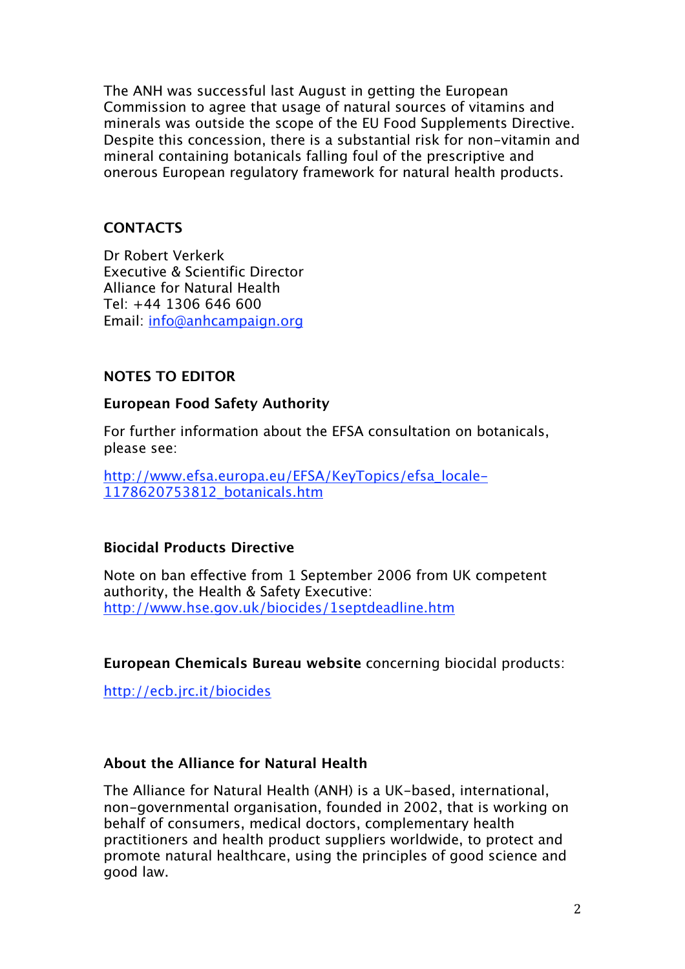The ANH was successful last August in getting the European Commission to agree that usage of natural sources of vitamins and minerals was outside the scope of the EU Food Supplements Directive. Despite this concession, there is a substantial risk for non-vitamin and mineral containing botanicals falling foul of the prescriptive and onerous European regulatory framework for natural health products.

# **CONTACTS**

Dr Robert Verkerk Executive & Scientific Director Alliance for Natural Health Tel: +44 1306 646 600 Email: info@anhcampaign.org

# **NOTES TO EDITOR**

### **European Food Safety Authority**

For further information about the EFSA consultation on botanicals, please see:

http://www.efsa.europa.eu/EFSA/KeyTopics/efsa\_locale-1178620753812\_botanicals.htm

# **Biocidal Products Directive**

Note on ban effective from 1 September 2006 from UK competent authority, the Health & Safety Executive: http://www.hse.gov.uk/biocides/1septdeadline.htm

**European Chemicals Bureau website** concerning biocidal products:

http://ecb.jrc.it/biocides

# **About the Alliance for Natural Health**

The Alliance for Natural Health (ANH) is a UK-based, international, non-governmental organisation, founded in 2002, that is working on behalf of consumers, medical doctors, complementary health practitioners and health product suppliers worldwide, to protect and promote natural healthcare, using the principles of good science and good law.